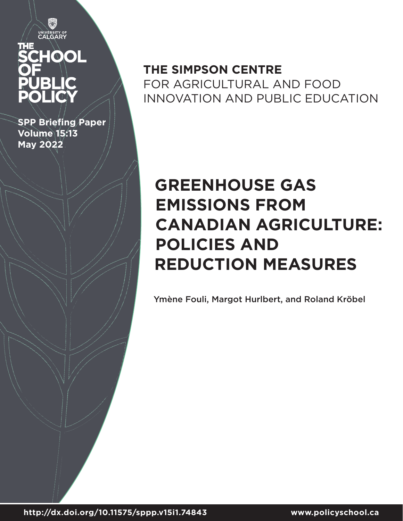V UNIVERSITY OF

# HOOL

**SPP Briefing Paper Volume 15:13 May 2022**

## **THE SIMPSON CENTRE**  FOR AGRICULTURAL AND FOOD INNOVATION AND PUBLIC EDUCATION

# **GREENHOUSE GAS EMISSIONS FROM CANADIAN AGRICULTURE: POLICIES AND REDUCTION MEASURES**

Ymène Fouli, Margot Hurlbert, and Roland Kröbel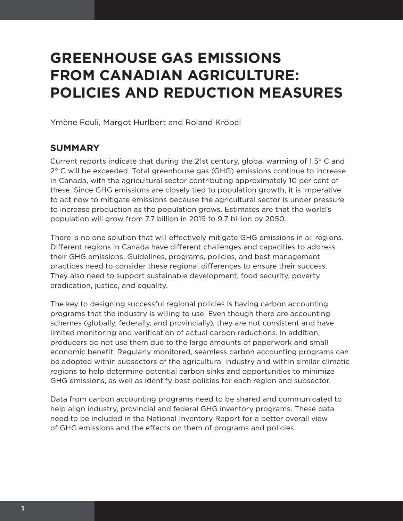# **GREENHOUSE GAS EMISSIONS FROM CANADIAN AGRICULTURE: POLICIES AND REDUCTION MEASURES**

Ymène Fouli, Margot Hurlbert and Roland Kröbel

## **SUMMARY**

Current reports indicate that during the 21st century, global warming of 1.5° C and 2° C will be exceeded. Total greenhouse gas (GHG) emissions continue to increase in Canada, with the agricultural sector contributing approximately 10 per cent of these. Since GHG emissions are closely tied to population growth, it is imperative to act now to mitigate emissions because the agricultural sector is under pressure to increase production as the population grows. Estimates are that the world's population will grow from 7.7 billion in 2019 to 9.7 billion by 2050.

There is no one solution that will effectively mitigate GHG emissions in all regions. Different regions in Canada have different challenges and capacities to address their GHG emissions. Guidelines, programs, policies, and best management practices need to consider these regional differences to ensure their success. They also need to support sustainable development, food security, poverty eradication, justice, and equality.

The key to designing successful regional policies is having carbon accounting programs that the industry is willing to use. Even though there are accounting schemes (globally, federally, and provincially), they are not consistent and have limited monitoring and verification of actual carbon reductions. In addition, producers do not use them due to the large amounts of paperwork and small economic benefit. Regularly monitored, seamless carbon accounting programs can be adopted within subsectors of the agricultural industry and within similar climatic regions to help determine potential carbon sinks and opportunities to minimize GHG emissions, as well as identify best policies for each region and subsector.

Data from carbon accounting programs need to be shared and communicated to help align industry, provincial and federal GHG inventory programs. These data need to be included in the National Inventory Report for a better overall view of GHG emissions and the effects on them of programs and policies.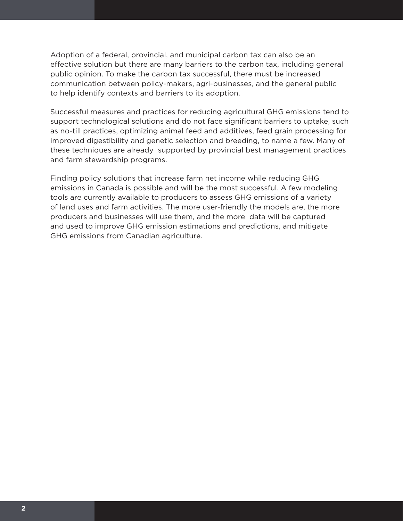Adoption of a federal, provincial, and municipal carbon tax can also be an effective solution but there are many barriers to the carbon tax, including general public opinion. To make the carbon tax successful, there must be increased communication between policy-makers, agri-businesses, and the general public to help identify contexts and barriers to its adoption.

Successful measures and practices for reducing agricultural GHG emissions tend to support technological solutions and do not face significant barriers to uptake, such as no-till practices, optimizing animal feed and additives, feed grain processing for improved digestibility and genetic selection and breeding, to name a few. Many of these techniques are already supported by provincial best management practices and farm stewardship programs.

Finding policy solutions that increase farm net income while reducing GHG emissions in Canada is possible and will be the most successful. A few modeling tools are currently available to producers to assess GHG emissions of a variety of land uses and farm activities. The more user-friendly the models are, the more producers and businesses will use them, and the more data will be captured and used to improve GHG emission estimations and predictions, and mitigate GHG emissions from Canadian agriculture.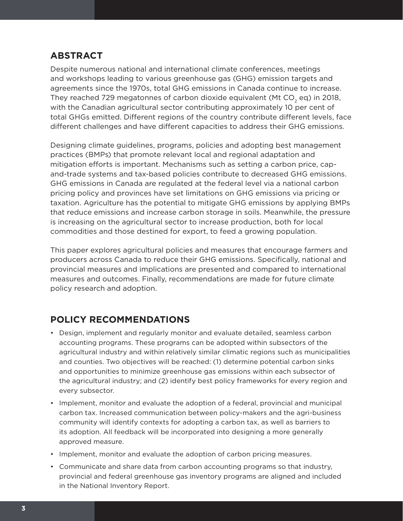## **ABSTRACT**

Despite numerous national and international climate conferences, meetings and workshops leading to various greenhouse gas (GHG) emission targets and agreements since the 1970s, total GHG emissions in Canada continue to increase. They reached 729 megatonnes of carbon dioxide equivalent (Mt CO<sub>2</sub> eq) in 2018, with the Canadian agricultural sector contributing approximately 10 per cent of total GHGs emitted. Different regions of the country contribute different levels, face different challenges and have different capacities to address their GHG emissions.

Designing climate guidelines, programs, policies and adopting best management practices (BMPs) that promote relevant local and regional adaptation and mitigation efforts is important. Mechanisms such as setting a carbon price, capand-trade systems and tax-based policies contribute to decreased GHG emissions. GHG emissions in Canada are regulated at the federal level via a national carbon pricing policy and provinces have set limitations on GHG emissions via pricing or taxation. Agriculture has the potential to mitigate GHG emissions by applying BMPs that reduce emissions and increase carbon storage in soils. Meanwhile, the pressure is increasing on the agricultural sector to increase production, both for local commodities and those destined for export, to feed a growing population.

This paper explores agricultural policies and measures that encourage farmers and producers across Canada to reduce their GHG emissions. Specifically, national and provincial measures and implications are presented and compared to international measures and outcomes. Finally, recommendations are made for future climate policy research and adoption.

## **POLICY RECOMMENDATIONS**

- Design, implement and regularly monitor and evaluate detailed, seamless carbon accounting programs. These programs can be adopted within subsectors of the agricultural industry and within relatively similar climatic regions such as municipalities and counties. Two objectives will be reached: (1) determine potential carbon sinks and opportunities to minimize greenhouse gas emissions within each subsector of the agricultural industry; and (2) identify best policy frameworks for every region and every subsector.
- Implement, monitor and evaluate the adoption of a federal, provincial and municipal carbon tax. Increased communication between policy-makers and the agri-business community will identify contexts for adopting a carbon tax, as well as barriers to its adoption. All feedback will be incorporated into designing a more generally approved measure.
- Implement, monitor and evaluate the adoption of carbon pricing measures.
- Communicate and share data from carbon accounting programs so that industry, provincial and federal greenhouse gas inventory programs are aligned and included in the National Inventory Report.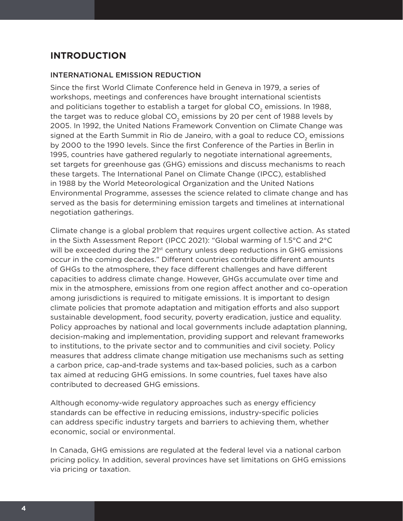## **INTRODUCTION**

## INTERNATIONAL EMISSION REDUCTION

Since the first World Climate Conference held in Geneva in 1979, a series of workshops, meetings and conferences have brought international scientists and politicians together to establish a target for global CO<sub>2</sub> emissions. In 1988, the target was to reduce global CO<sub>2</sub> emissions by 20 per cent of 1988 levels by 2005. In 1992, the United Nations Framework Convention on Climate Change was signed at the Earth Summit in Rio de Janeiro, with a goal to reduce CO<sub>2</sub> emissions by 2000 to the 1990 levels. Since the first Conference of the Parties in Berlin in 1995, countries have gathered regularly to negotiate international agreements, set targets for greenhouse gas (GHG) emissions and discuss mechanisms to reach these targets. The International Panel on Climate Change (IPCC), established in 1988 by the World Meteorological Organization and the United Nations Environmental Programme, assesses the science related to climate change and has served as the basis for determining emission targets and timelines at international negotiation gatherings.

Climate change is a global problem that requires urgent collective action. As stated in the Sixth Assessment Report (IPCC 2021): "Global warming of 1.5°C and 2°C will be exceeded during the  $21<sup>st</sup>$  century unless deep reductions in GHG emissions occur in the coming decades." Different countries contribute different amounts of GHGs to the atmosphere, they face different challenges and have different capacities to address climate change. However, GHGs accumulate over time and mix in the atmosphere, emissions from one region affect another and co-operation among jurisdictions is required to mitigate emissions. It is important to design climate policies that promote adaptation and mitigation efforts and also support sustainable development, food security, poverty eradication, justice and equality. Policy approaches by national and local governments include adaptation planning, decision-making and implementation, providing support and relevant frameworks to institutions, to the private sector and to communities and civil society. Policy measures that address climate change mitigation use mechanisms such as setting a carbon price, cap-and-trade systems and tax-based policies, such as a carbon tax aimed at reducing GHG emissions. In some countries, fuel taxes have also contributed to decreased GHG emissions.

Although economy-wide regulatory approaches such as energy efficiency standards can be effective in reducing emissions, industry-specific policies can address specific industry targets and barriers to achieving them, whether economic, social or environmental.

In Canada, GHG emissions are regulated at the federal level via a national carbon pricing policy. In addition, several provinces have set limitations on GHG emissions via pricing or taxation.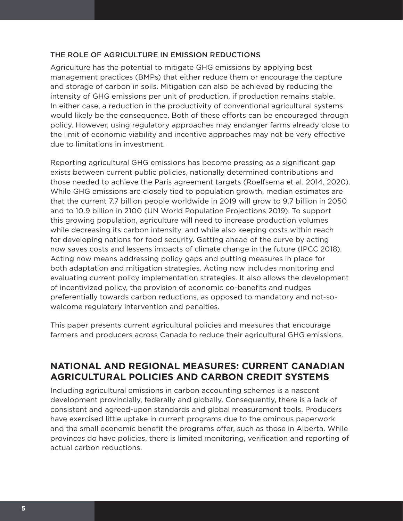## THE ROLE OF AGRICULTURE IN EMISSION REDUCTIONS

Agriculture has the potential to mitigate GHG emissions by applying best management practices (BMPs) that either reduce them or encourage the capture and storage of carbon in soils. Mitigation can also be achieved by reducing the intensity of GHG emissions per unit of production, if production remains stable. In either case, a reduction in the productivity of conventional agricultural systems would likely be the consequence. Both of these efforts can be encouraged through policy. However, using regulatory approaches may endanger farms already close to the limit of economic viability and incentive approaches may not be very effective due to limitations in investment.

Reporting agricultural GHG emissions has become pressing as a significant gap exists between current public policies, nationally determined contributions and those needed to achieve the Paris agreement targets (Roelfsema et al. 2014, 2020). While GHG emissions are closely tied to population growth, median estimates are that the current 7.7 billion people worldwide in 2019 will grow to 9.7 billion in 2050 and to 10.9 billion in 2100 (UN World Population Projections 2019). To support this growing population, agriculture will need to increase production volumes while decreasing its carbon intensity, and while also keeping costs within reach for developing nations for food security. Getting ahead of the curve by acting now saves costs and lessens impacts of climate change in the future (IPCC 2018). Acting now means addressing policy gaps and putting measures in place for both adaptation and mitigation strategies. Acting now includes monitoring and evaluating current policy implementation strategies. It also allows the development of incentivized policy, the provision of economic co-benefits and nudges preferentially towards carbon reductions, as opposed to mandatory and not-sowelcome regulatory intervention and penalties.

This paper presents current agricultural policies and measures that encourage farmers and producers across Canada to reduce their agricultural GHG emissions.

## **NATIONAL AND REGIONAL MEASURES: CURRENT CANADIAN AGRICULTURAL POLICIES AND CARBON CREDIT SYSTEMS**

Including agricultural emissions in carbon accounting schemes is a nascent development provincially, federally and globally. Consequently, there is a lack of consistent and agreed-upon standards and global measurement tools. Producers have exercised little uptake in current programs due to the ominous paperwork and the small economic benefit the programs offer, such as those in Alberta. While provinces do have policies, there is limited monitoring, verification and reporting of actual carbon reductions.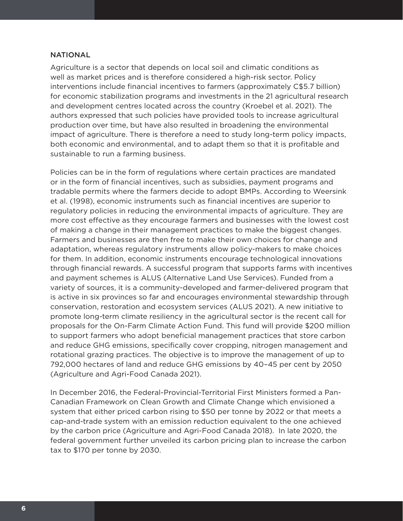## **NATIONAL**

Agriculture is a sector that depends on local soil and climatic conditions as well as market prices and is therefore considered a high-risk sector. Policy interventions include financial incentives to farmers (approximately C\$5.7 billion) for economic stabilization programs and investments in the 21 agricultural research and development centres located across the country (Kroebel et al. 2021). The authors expressed that such policies have provided tools to increase agricultural production over time, but have also resulted in broadening the environmental impact of agriculture. There is therefore a need to study long-term policy impacts, both economic and environmental, and to adapt them so that it is profitable and sustainable to run a farming business.

Policies can be in the form of regulations where certain practices are mandated or in the form of financial incentives, such as subsidies, payment programs and tradable permits where the farmers decide to adopt BMPs. According to Weersink et al. (1998), economic instruments such as financial incentives are superior to regulatory policies in reducing the environmental impacts of agriculture. They are more cost effective as they encourage farmers and businesses with the lowest cost of making a change in their management practices to make the biggest changes. Farmers and businesses are then free to make their own choices for change and adaptation, whereas regulatory instruments allow policy-makers to make choices for them. In addition, economic instruments encourage technological innovations through financial rewards. A successful program that supports farms with incentives and payment schemes is ALUS (Alternative Land Use Services). Funded from a variety of sources, it is a community-developed and farmer-delivered program that is active in six provinces so far and encourages environmental stewardship through conservation, restoration and ecosystem services (ALUS 2021). A new initiative to promote long-term climate resiliency in the agricultural sector is the recent call for proposals for the On-Farm Climate Action Fund. This fund will provide \$200 million to support farmers who adopt beneficial management practices that store carbon and reduce GHG emissions, specifically cover cropping, nitrogen management and rotational grazing practices. The objective is to improve the management of up to 792,000 hectares of land and reduce GHG emissions by 40–45 per cent by 2050 (Agriculture and Agri-Food Canada 2021).

In December 2016, the Federal-Provincial-Territorial First Ministers formed a Pan-Canadian Framework on Clean Growth and Climate Change which envisioned a system that either priced carbon rising to \$50 per tonne by 2022 or that meets a cap-and-trade system with an emission reduction equivalent to the one achieved by the carbon price (Agriculture and Agri-Food Canada 2018). In late 2020, the federal government further unveiled its carbon pricing plan to increase the carbon tax to \$170 per tonne by 2030.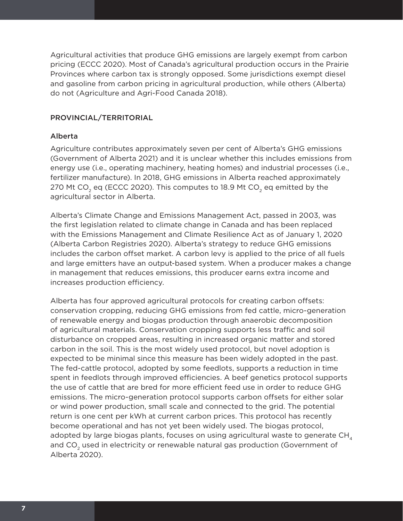Agricultural activities that produce GHG emissions are largely exempt from carbon pricing (ECCC 2020). Most of Canada's agricultural production occurs in the Prairie Provinces where carbon tax is strongly opposed. Some jurisdictions exempt diesel and gasoline from carbon pricing in agricultural production, while others (Alberta) do not (Agriculture and Agri-Food Canada 2018).

## PROVINCIAL/TERRITORIAL

## Alberta

Agriculture contributes approximately seven per cent of Alberta's GHG emissions (Government of Alberta 2021) and it is unclear whether this includes emissions from energy use (i.e., operating machinery, heating homes) and industrial processes (i.e., fertilizer manufacture). In 2018, GHG emissions in Alberta reached approximately 270 Mt CO<sub>2</sub> eq (ECCC 2020). This computes to 18.9 Mt CO<sub>2</sub> eq emitted by the agricultural sector in Alberta.

Alberta's Climate Change and Emissions Management Act, passed in 2003, was the first legislation related to climate change in Canada and has been replaced with the Emissions Management and Climate Resilience Act as of January 1, 2020 (Alberta Carbon Registries 2020). Alberta's strategy to reduce GHG emissions includes the carbon offset market. A carbon levy is applied to the price of all fuels and large emitters have an output-based system. When a producer makes a change in management that reduces emissions, this producer earns extra income and increases production efficiency.

Alberta has four approved agricultural protocols for creating carbon offsets: conservation cropping, reducing GHG emissions from fed cattle, micro-generation of renewable energy and biogas production through anaerobic decomposition of agricultural materials. Conservation cropping supports less traffic and soil disturbance on cropped areas, resulting in increased organic matter and stored carbon in the soil. This is the most widely used protocol, but novel adoption is expected to be minimal since this measure has been widely adopted in the past. The fed-cattle protocol, adopted by some feedlots, supports a reduction in time spent in feedlots through improved efficiencies. A beef genetics protocol supports the use of cattle that are bred for more efficient feed use in order to reduce GHG emissions. The micro-generation protocol supports carbon offsets for either solar or wind power production, small scale and connected to the grid. The potential return is one cent per kWh at current carbon prices. This protocol has recently become operational and has not yet been widely used. The biogas protocol, adopted by large biogas plants, focuses on using agricultural waste to generate  $CH<sub>4</sub>$ and  $CO<sub>2</sub>$  used in electricity or renewable natural gas production (Government of Alberta 2020).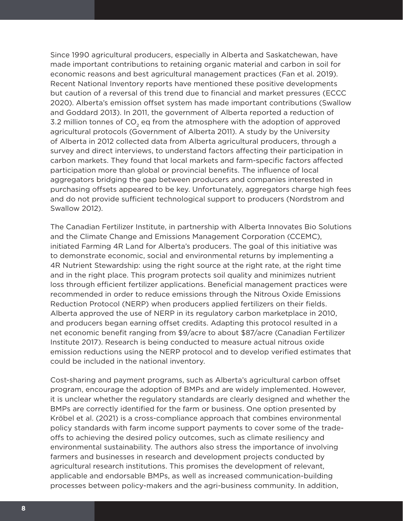Since 1990 agricultural producers, especially in Alberta and Saskatchewan, have made important contributions to retaining organic material and carbon in soil for economic reasons and best agricultural management practices (Fan et al. 2019). Recent National Inventory reports have mentioned these positive developments but caution of a reversal of this trend due to financial and market pressures (ECCC 2020). Alberta's emission offset system has made important contributions (Swallow and Goddard 2013). In 2011, the government of Alberta reported a reduction of 3.2 million tonnes of  $CO<sub>2</sub>$  eq from the atmosphere with the adoption of approved agricultural protocols (Government of Alberta 2011). A study by the University of Alberta in 2012 collected data from Alberta agricultural producers, through a survey and direct interviews, to understand factors affecting their participation in carbon markets. They found that local markets and farm-specific factors affected participation more than global or provincial benefits. The influence of local aggregators bridging the gap between producers and companies interested in purchasing offsets appeared to be key. Unfortunately, aggregators charge high fees and do not provide sufficient technological support to producers (Nordstrom and Swallow 2012).

The Canadian Fertilizer Institute, in partnership with Alberta Innovates Bio Solutions and the Climate Change and Emissions Management Corporation (CCEMC), initiated Farming 4R Land for Alberta's producers. The goal of this initiative was to demonstrate economic, social and environmental returns by implementing a 4R Nutrient Stewardship: using the right source at the right rate, at the right time and in the right place. This program protects soil quality and minimizes nutrient loss through efficient fertilizer applications. Beneficial management practices were recommended in order to reduce emissions through the Nitrous Oxide Emissions Reduction Protocol (NERP) when producers applied fertilizers on their fields. Alberta approved the use of NERP in its regulatory carbon marketplace in 2010, and producers began earning offset credits. Adapting this protocol resulted in a net economic benefit ranging from \$9/acre to about \$87/acre (Canadian Fertilizer Institute 2017). Research is being conducted to measure actual nitrous oxide emission reductions using the NERP protocol and to develop verified estimates that could be included in the national inventory.

Cost-sharing and payment programs, such as Alberta's agricultural carbon offset program, encourage the adoption of BMPs and are widely implemented. However, it is unclear whether the regulatory standards are clearly designed and whether the BMPs are correctly identified for the farm or business. One option presented by Kröbel et al. (2021) is a cross-compliance approach that combines environmental policy standards with farm income support payments to cover some of the tradeoffs to achieving the desired policy outcomes, such as climate resiliency and environmental sustainability. The authors also stress the importance of involving farmers and businesses in research and development projects conducted by agricultural research institutions. This promises the development of relevant, applicable and endorsable BMPs, as well as increased communication-building processes between policy-makers and the agri-business community. In addition,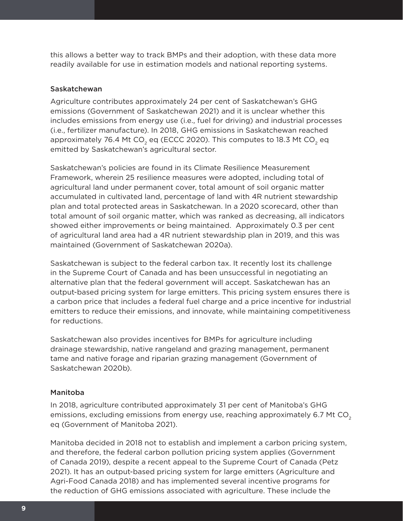this allows a better way to track BMPs and their adoption, with these data more readily available for use in estimation models and national reporting systems.

## Saskatchewan

Agriculture contributes approximately 24 per cent of Saskatchewan's GHG emissions (Government of Saskatchewan 2021) and it is unclear whether this includes emissions from energy use (i.e., fuel for driving) and industrial processes (i.e., fertilizer manufacture). In 2018, GHG emissions in Saskatchewan reached approximately 76.4 Mt CO<sub>2</sub> eq (ECCC 2020). This computes to 18.3 Mt CO<sub>2</sub> eq emitted by Saskatchewan's agricultural sector.

Saskatchewan's policies are found in its Climate Resilience Measurement Framework, wherein 25 resilience measures were adopted, including total of agricultural land under permanent cover, total amount of soil organic matter accumulated in cultivated land, percentage of land with 4R nutrient stewardship plan and total protected areas in Saskatchewan. In a 2020 scorecard, other than total amount of soil organic matter, which was ranked as decreasing, all indicators showed either improvements or being maintained. Approximately 0.3 per cent of agricultural land area had a 4R nutrient stewardship plan in 2019, and this was maintained (Government of Saskatchewan 2020a).

Saskatchewan is subject to the federal carbon tax. It recently lost its challenge in the Supreme Court of Canada and has been unsuccessful in negotiating an alternative plan that the federal government will accept. Saskatchewan has an output-based pricing system for large emitters. This pricing system ensures there is a carbon price that includes a federal fuel charge and a price incentive for industrial emitters to reduce their emissions, and innovate, while maintaining competitiveness for reductions.

Saskatchewan also provides incentives for BMPs for agriculture including drainage stewardship, native rangeland and grazing management, permanent tame and native forage and riparian grazing management (Government of Saskatchewan 2020b).

#### Manitoba

In 2018, agriculture contributed approximately 31 per cent of Manitoba's GHG emissions, excluding emissions from energy use, reaching approximately 6.7 Mt  $CO<sub>2</sub>$ eq (Government of Manitoba 2021).

Manitoba decided in 2018 not to establish and implement a carbon pricing system, and therefore, the federal carbon pollution pricing system applies (Government of Canada 2019), despite a recent appeal to the Supreme Court of Canada (Petz 2021). It has an output-based pricing system for large emitters (Agriculture and Agri-Food Canada 2018) and has implemented several incentive programs for the reduction of GHG emissions associated with agriculture. These include the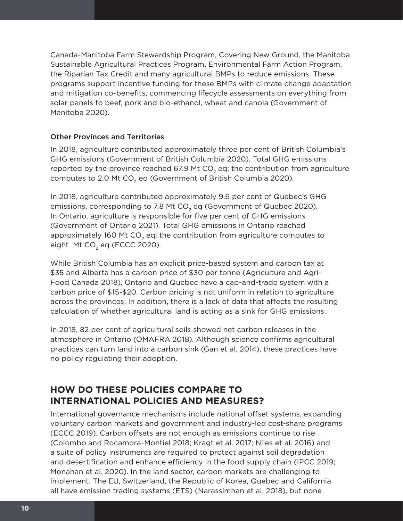Canada-Manitoba Farm Stewardship Program, Covering New Ground, the Manitoba Sustainable Agricultural Practices Program, Environmental Farm Action Program, the Riparian Tax Credit and many agricultural BMPs to reduce emissions. These programs support incentive funding for these BMPs with climate change adaptation and mitigation co-benefits, commencing lifecycle assessments on everything from solar panels to beef, pork and bio-ethanol, wheat and canola (Government of Manitoba 2020).

## Other Provinces and Territories

In 2018, agriculture contributed approximately three per cent of British Columbia's GHG emissions (Government of British Columbia 2020). Total GHG emissions reported by the province reached 67.9 Mt CO<sub>2</sub> eq; the contribution from agriculture computes to 2.0 Mt  $CO<sub>2</sub>$  eq (Government of British Columbia 2020).

In 2018, agriculture contributed approximately 9.6 per cent of Quebec's GHG emissions, corresponding to 7.8 Mt CO<sub>2</sub> eq (Government of Quebec 2020). In Ontario, agriculture is responsible for five per cent of GHG emissions (Government of Ontario 2021). Total GHG emissions in Ontario reached approximately 160 Mt CO<sub>2</sub> eq; the contribution from agriculture computes to eight Mt CO<sub>2</sub> eq (ECCC 2020).

While British Columbia has an explicit price-based system and carbon tax at \$35 and Alberta has a carbon price of \$30 per tonne (Agriculture and Agri-Food Canada 2018), Ontario and Quebec have a cap-and-trade system with a carbon price of \$15-\$20. Carbon pricing is not uniform in relation to agriculture across the provinces. In addition, there is a lack of data that affects the resulting calculation of whether agricultural land is acting as a sink for GHG emissions.

In 2018, 82 per cent of agricultural soils showed net carbon releases in the atmosphere in Ontario (OMAFRA 2018). Although science confirms agricultural practices can turn land into a carbon sink (Gan et al. 2014), these practices have no policy regulating their adoption.

## **HOW DO THESE POLICIES COMPARE TO INTERNATIONAL POLICIES AND MEASURES?**

International governance mechanisms include national offset systems, expanding voluntary carbon markets and government and industry-led cost-share programs (ECCC 2019). Carbon offsets are not enough as emissions continue to rise (Colombo and Rocamora-Montiel 2018; Kragt et al. 2017; Niles et al. 2016) and a suite of policy instruments are required to protect against soil degradation and desertification and enhance efficiency in the food supply chain (IPCC 2019; Monahan et al. 2020). In the land sector, carbon markets are challenging to implement. The EU, Switzerland, the Republic of Korea, Quebec and California all have emission trading systems (ETS) (Narassimhan et al. 2018), but none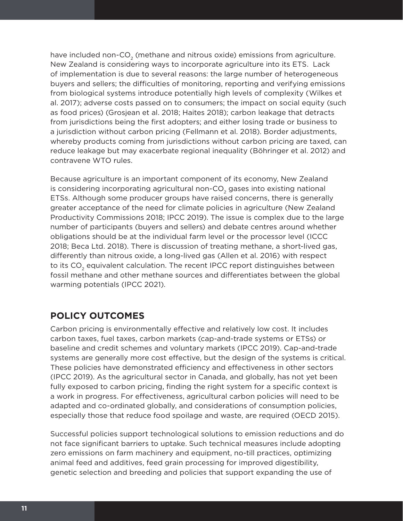have included non-CO<sub>2</sub> (methane and nitrous oxide) emissions from agriculture. New Zealand is considering ways to incorporate agriculture into its ETS. Lack of implementation is due to several reasons: the large number of heterogeneous buyers and sellers; the difficulties of monitoring, reporting and verifying emissions from biological systems introduce potentially high levels of complexity (Wilkes et al. 2017); adverse costs passed on to consumers; the impact on social equity (such as food prices) (Grosjean et al. 2018; Haites 2018); carbon leakage that detracts from jurisdictions being the first adopters; and either losing trade or business to a jurisdiction without carbon pricing (Fellmann et al. 2018). Border adjustments, whereby products coming from jurisdictions without carbon pricing are taxed, can reduce leakage but may exacerbate regional inequality (Böhringer et al. 2012) and contravene WTO rules.

Because agriculture is an important component of its economy, New Zealand is considering incorporating agricultural non-CO<sub>2</sub> gases into existing national ETSs. Although some producer groups have raised concerns, there is generally greater acceptance of the need for climate policies in agriculture (New Zealand Productivity Commissions 2018; IPCC 2019). The issue is complex due to the large number of participants (buyers and sellers) and debate centres around whether obligations should be at the individual farm level or the processor level (ICCC 2018; Beca Ltd. 2018). There is discussion of treating methane, a short-lived gas, differently than nitrous oxide, a long-lived gas (Allen et al. 2016) with respect to its  $CO<sub>2</sub>$  equivalent calculation. The recent IPCC report distinguishes between fossil methane and other methane sources and differentiates between the global warming potentials (IPCC 2021).

## **POLICY OUTCOMES**

Carbon pricing is environmentally effective and relatively low cost. It includes carbon taxes, fuel taxes, carbon markets (cap-and-trade systems or ETSs) or baseline and credit schemes and voluntary markets (IPCC 2019). Cap-and-trade systems are generally more cost effective, but the design of the systems is critical. These policies have demonstrated efficiency and effectiveness in other sectors (IPCC 2019). As the agricultural sector in Canada, and globally, has not yet been fully exposed to carbon pricing, finding the right system for a specific context is a work in progress. For effectiveness, agricultural carbon policies will need to be adapted and co-ordinated globally, and considerations of consumption policies, especially those that reduce food spoilage and waste, are required (OECD 2015).

Successful policies support technological solutions to emission reductions and do not face significant barriers to uptake. Such technical measures include adopting zero emissions on farm machinery and equipment, no-till practices, optimizing animal feed and additives, feed grain processing for improved digestibility, genetic selection and breeding and policies that support expanding the use of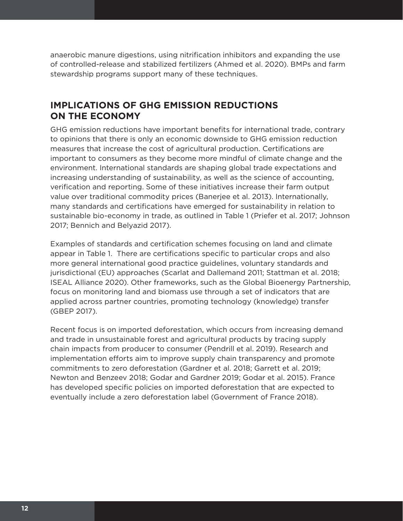anaerobic manure digestions, using nitrification inhibitors and expanding the use of controlled-release and stabilized fertilizers (Ahmed et al. 2020). BMPs and farm stewardship programs support many of these techniques.

## **IMPLICATIONS OF GHG EMISSION REDUCTIONS ON THE ECONOMY**

GHG emission reductions have important benefits for international trade, contrary to opinions that there is only an economic downside to GHG emission reduction measures that increase the cost of agricultural production. Certifications are important to consumers as they become more mindful of climate change and the environment. International standards are shaping global trade expectations and increasing understanding of sustainability, as well as the science of accounting, verification and reporting. Some of these initiatives increase their farm output value over traditional commodity prices (Banerjee et al. 2013). Internationally, many standards and certifications have emerged for sustainability in relation to sustainable bio-economy in trade, as outlined in Table 1 (Priefer et al. 2017; Johnson 2017; Bennich and Belyazid 2017).

Examples of standards and certification schemes focusing on land and climate appear in Table 1. There are certifications specific to particular crops and also more general international good practice guidelines, voluntary standards and jurisdictional (EU) approaches (Scarlat and Dallemand 2011; Stattman et al. 2018; ISEAL Alliance 2020). Other frameworks, such as the Global Bioenergy Partnership, focus on monitoring land and biomass use through a set of indicators that are applied across partner countries, promoting technology (knowledge) transfer (GBEP 2017).

Recent focus is on imported deforestation, which occurs from increasing demand and trade in unsustainable forest and agricultural products by tracing supply chain impacts from producer to consumer (Pendrill et al. 2019). Research and implementation efforts aim to improve supply chain transparency and promote commitments to zero deforestation (Gardner et al. 2018; Garrett et al. 2019; Newton and Benzeev 2018; Godar and Gardner 2019; Godar et al. 2015). France has developed specific policies on imported deforestation that are expected to eventually include a zero deforestation label (Government of France 2018).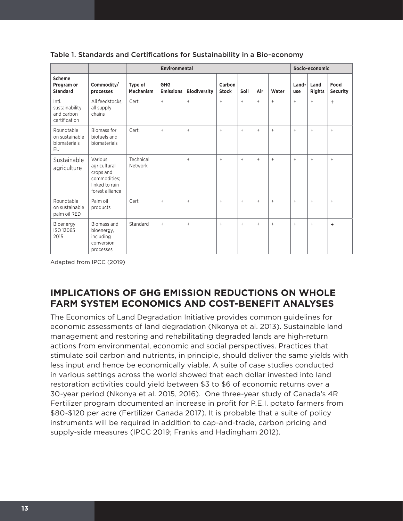|                                                        |                                                                                           |                             | <b>Environmental</b>           |                     |                        |           |           |       | Socio-economic |                       |                         |
|--------------------------------------------------------|-------------------------------------------------------------------------------------------|-----------------------------|--------------------------------|---------------------|------------------------|-----------|-----------|-------|----------------|-----------------------|-------------------------|
| <b>Scheme</b><br>Program or<br><b>Standard</b>         | Commodity/<br>processes                                                                   | Type of<br><b>Mechanism</b> | <b>GHG</b><br><b>Emissions</b> | <b>Biodiversity</b> | Carbon<br><b>Stock</b> | Soil      | Air       | Water | Land-<br>use   | Land<br><b>Rights</b> | Food<br><b>Security</b> |
| Intl.<br>sustainability<br>and carbon<br>certification | All feedstocks.<br>all supply<br>chains                                                   | Cert.                       | $\ddot{}$                      | $+$                 | $\ddot{}$              | $\ddot{}$ | $\ddot{}$ | $+$   | $\ddot{}$      | $+$                   | $+$                     |
| Roundtable<br>on sustainable<br>biomaterials<br>EU     | Biomass for<br>biofuels and<br>biomaterials                                               | Cert.                       | $\ddot{}$                      | $\ddot{}$           | $\ddot{}$              | $\ddot{}$ | $\ddot{}$ | $+$   | $\ddot{}$      | $^{+}$                | $+$                     |
| Sustainable<br>agriculture                             | Various<br>agricultural<br>crops and<br>commodities:<br>linked to rain<br>forest alliance | Technical<br>Network        |                                | $\ddot{}$           | $\ddot{}$              | $\ddot{}$ | $\ddot{}$ | $+$   | $\ddot{}$      | $+$                   | $+$                     |
| Roundtable<br>on sustainable<br>palm oil RED           | Palm oil<br>products                                                                      | Cert                        | $\ddot{}$                      | $\ddot{}$           | $\ddot{}$              | $\ddot{}$ | $\ddot{}$ | $+$   | $\ddot{}$      | $^{+}$                | $+$                     |
| Bioenergy<br>ISO 13065<br>2015                         | Biomass and<br>bioenergy,<br>including<br>conversion<br>processes                         | Standard                    | $\ddot{}$                      | $\ddot{}$           | $\ddot{}$              | $\ddot{}$ | $\ddot{}$ | $+$   | $\ddot{}$      | $+$                   | $+$                     |

## Table 1. Standards and Certifications for Sustainability in a Bio-economy

Adapted from IPCC (2019)

## **IMPLICATIONS OF GHG EMISSION REDUCTIONS ON WHOLE FARM SYSTEM ECONOMICS AND COST-BENEFIT ANALYSES**

The Economics of Land Degradation Initiative provides common guidelines for economic assessments of land degradation (Nkonya et al. 2013). Sustainable land management and restoring and rehabilitating degraded lands are high-return actions from environmental, economic and social perspectives. Practices that stimulate soil carbon and nutrients, in principle, should deliver the same yields with less input and hence be economically viable. A suite of case studies conducted in various settings across the world showed that each dollar invested into land restoration activities could yield between \$3 to \$6 of economic returns over a 30-year period (Nkonya et al. 2015, 2016). One three-year study of Canada's 4R Fertilizer program documented an increase in profit for P.E.I. potato farmers from \$80-\$120 per acre (Fertilizer Canada 2017). It is probable that a suite of policy instruments will be required in addition to cap-and-trade, carbon pricing and supply-side measures (IPCC 2019; Franks and Hadingham 2012).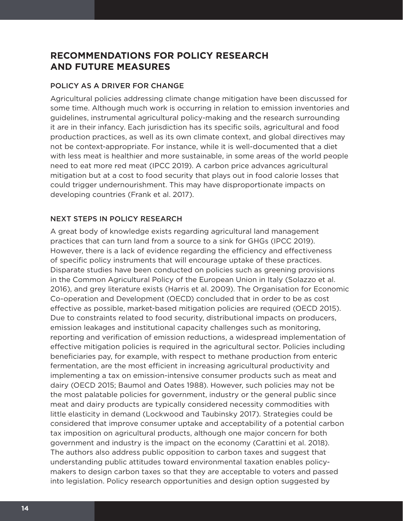## **RECOMMENDATIONS FOR POLICY RESEARCH AND FUTURE MEASURES**

## POLICY AS A DRIVER FOR CHANGE

Agricultural policies addressing climate change mitigation have been discussed for some time. Although much work is occurring in relation to emission inventories and guidelines, instrumental agricultural policy-making and the research surrounding it are in their infancy. Each jurisdiction has its specific soils, agricultural and food production practices, as well as its own climate context, and global directives may not be context-appropriate. For instance, while it is well-documented that a diet with less meat is healthier and more sustainable, in some areas of the world people need to eat more red meat (IPCC 2019). A carbon price advances agricultural mitigation but at a cost to food security that plays out in food calorie losses that could trigger undernourishment. This may have disproportionate impacts on developing countries (Frank et al. 2017).

## NEXT STEPS IN POLICY RESEARCH

A great body of knowledge exists regarding agricultural land management practices that can turn land from a source to a sink for GHGs (IPCC 2019). However, there is a lack of evidence regarding the efficiency and effectiveness of specific policy instruments that will encourage uptake of these practices. Disparate studies have been conducted on policies such as greening provisions in the Common Agricultural Policy of the European Union in Italy (Solazzo et al. 2016), and grey literature exists (Harris et al. 2009). The Organisation for Economic Co-operation and Development (OECD) concluded that in order to be as cost effective as possible, market-based mitigation policies are required (OECD 2015). Due to constraints related to food security, distributional impacts on producers, emission leakages and institutional capacity challenges such as monitoring, reporting and verification of emission reductions, a widespread implementation of effective mitigation policies is required in the agricultural sector. Policies including beneficiaries pay, for example, with respect to methane production from enteric fermentation, are the most efficient in increasing agricultural productivity and implementing a tax on emission-intensive consumer products such as meat and dairy (OECD 2015; Baumol and Oates 1988). However, such policies may not be the most palatable policies for government, industry or the general public since meat and dairy products are typically considered necessity commodities with little elasticity in demand (Lockwood and Taubinsky 2017). Strategies could be considered that improve consumer uptake and acceptability of a potential carbon tax imposition on agricultural products, although one major concern for both government and industry is the impact on the economy (Carattini et al. 2018). The authors also address public opposition to carbon taxes and suggest that understanding public attitudes toward environmental taxation enables policymakers to design carbon taxes so that they are acceptable to voters and passed into legislation. Policy research opportunities and design option suggested by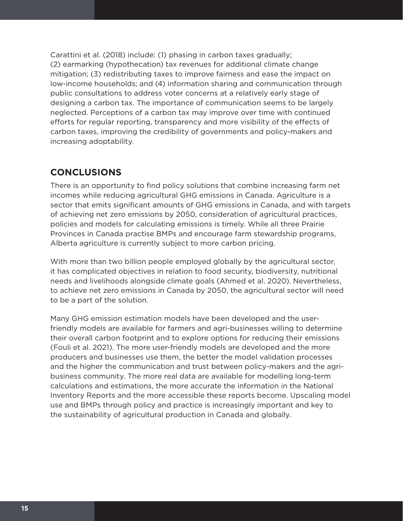Carattini et al. (2018) include: (1) phasing in carbon taxes gradually; (2) earmarking (hypothecation) tax revenues for additional climate change mitigation; (3) redistributing taxes to improve fairness and ease the impact on low-income households; and (4) information sharing and communication through public consultations to address voter concerns at a relatively early stage of designing a carbon tax. The importance of communication seems to be largely neglected. Perceptions of a carbon tax may improve over time with continued efforts for regular reporting, transparency and more visibility of the effects of carbon taxes, improving the credibility of governments and policy-makers and increasing adoptability.

## **CONCLUSIONS**

There is an opportunity to find policy solutions that combine increasing farm net incomes while reducing agricultural GHG emissions in Canada. Agriculture is a sector that emits significant amounts of GHG emissions in Canada, and with targets of achieving net zero emissions by 2050, consideration of agricultural practices, policies and models for calculating emissions is timely. While all three Prairie Provinces in Canada practise BMPs and encourage farm stewardship programs, Alberta agriculture is currently subject to more carbon pricing.

With more than two billion people employed globally by the agricultural sector, it has complicated objectives in relation to food security, biodiversity, nutritional needs and livelihoods alongside climate goals (Ahmed et al. 2020). Nevertheless, to achieve net zero emissions in Canada by 2050, the agricultural sector will need to be a part of the solution.

Many GHG emission estimation models have been developed and the userfriendly models are available for farmers and agri-businesses willing to determine their overall carbon footprint and to explore options for reducing their emissions (Fouli et al. 2021). The more user-friendly models are developed and the more producers and businesses use them, the better the model validation processes and the higher the communication and trust between policy-makers and the agribusiness community. The more real data are available for modelling long-term calculations and estimations, the more accurate the information in the National Inventory Reports and the more accessible these reports become. Upscaling model use and BMPs through policy and practice is increasingly important and key to the sustainability of agricultural production in Canada and globally.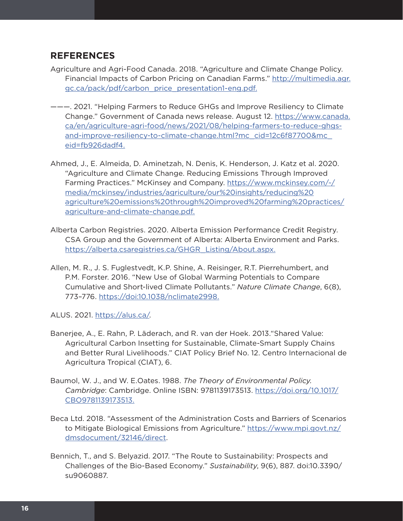## **REFERENCES**

- Agriculture and Agri-Food Canada. 2018. "Agriculture and Climate Change Policy. Financial Impacts of Carbon Pricing on Canadian Farms." [http://multimedia.agr.](http://multimedia.agr.gc.ca/pack/pdf/carbon_price_presentation1-eng.pdf) [gc.ca/pack/pdf/carbon\\_price\\_presentation1-eng.pdf](http://multimedia.agr.gc.ca/pack/pdf/carbon_price_presentation1-eng.pdf).
- ———. 2021. "Helping Farmers to Reduce GHGs and Improve Resiliency to Climate Change." Government of Canada news release. August 12. [https://www.canada.](https://www.canada.ca/en/agriculture-agri-food/news/2021/08/helping-farmers-to-reduce-ghgs-and-improve-resiliency-to-climate-change.html?mc_cid=12c6f87700&mc_eid=fb926dadf4) [ca/en/agriculture-agri-food/news/2021/08/helping-farmers-to-reduce-ghgs](https://www.canada.ca/en/agriculture-agri-food/news/2021/08/helping-farmers-to-reduce-ghgs-and-improve-resiliency-to-climate-change.html?mc_cid=12c6f87700&mc_eid=fb926dadf4)[and-improve-resiliency-to-climate-change.html?mc\\_cid=12c6f87700&mc\\_](https://www.canada.ca/en/agriculture-agri-food/news/2021/08/helping-farmers-to-reduce-ghgs-and-improve-resiliency-to-climate-change.html?mc_cid=12c6f87700&mc_eid=fb926dadf4) [eid=fb926dadf4](https://www.canada.ca/en/agriculture-agri-food/news/2021/08/helping-farmers-to-reduce-ghgs-and-improve-resiliency-to-climate-change.html?mc_cid=12c6f87700&mc_eid=fb926dadf4).
- Ahmed, J., E. Almeida, D. Aminetzah, N. Denis, K. Henderson, J. Katz et al. 2020. "Agriculture and Climate Change. Reducing Emissions Through Improved Farming Practices." McKinsey and Company. [https://www.mckinsey.com/~/](https://www.mckinsey.com/~/media/mckinsey/industries/agriculture/our%20insights/reducing%20agriculture%20emissions%20through%20improved%20farming%20practices/agriculture-and-climate-change.pdf) [media/mckinsey/industries/agriculture/our%20insights/reducing%20](https://www.mckinsey.com/~/media/mckinsey/industries/agriculture/our%20insights/reducing%20agriculture%20emissions%20through%20improved%20farming%20practices/agriculture-and-climate-change.pdf) [agriculture%20emissions%20through%20improved%20farming%20practices/](https://www.mckinsey.com/~/media/mckinsey/industries/agriculture/our%20insights/reducing%20agriculture%20emissions%20through%20improved%20farming%20practices/agriculture-and-climate-change.pdf) [agriculture-and-climate-change.pdf](https://www.mckinsey.com/~/media/mckinsey/industries/agriculture/our%20insights/reducing%20agriculture%20emissions%20through%20improved%20farming%20practices/agriculture-and-climate-change.pdf).
- Alberta Carbon Registries. 2020. Alberta Emission Performance Credit Registry. CSA Group and the Government of Alberta: Alberta Environment and Parks. [https://alberta.csaregistries.ca/GHGR\\_Listing/About.aspx](https://alberta.csaregistries.ca/GHGR_Listing/About.aspx).
- Allen, M. R., J. S. Fuglestvedt, K.P. Shine, A. Reisinger, R.T. Pierrehumbert, and P.M. Forster. 2016. "New Use of Global Warming Potentials to Compare Cumulative and Short-lived Climate Pollutants." *Nature Climate Change*, 6(8), 773–776.<https://doi:10.1038/nclimate2998>.

ALUS. 2021. [https://alus.ca/.](https://alus.ca/)

- Banerjee, A., E. Rahn, P. Läderach, and R. van der Hoek. 2013."Shared Value: Agricultural Carbon Insetting for Sustainable, Climate-Smart Supply Chains and Better Rural Livelihoods." CIAT Policy Brief No. 12. Centro Internacional de Agricultura Tropical (CIAT), 6.
- Baumol, W. J., and W. E.Oates. 1988. *The Theory of Environmental Policy. Cambridge*: Cambridge. Online ISBN: 9781139173513. [https://doi.org/10.1017/](https://doi.org/10.1017/CBO9781139173513) [CBO9781139173513.](https://doi.org/10.1017/CBO9781139173513)
- Beca Ltd. 2018. "Assessment of the Administration Costs and Barriers of Scenarios to Mitigate Biological Emissions from Agriculture." [https://www.mpi.govt.nz/](https://www.mpi.govt.nz/dmsdocument/32146/direct) [dmsdocument/32146/direct.](https://www.mpi.govt.nz/dmsdocument/32146/direct)
- Bennich, T., and S. Belyazid. 2017. "The Route to Sustainability: Prospects and Challenges of the Bio-Based Economy." *Sustainability*, 9(6), 887. doi:10.3390/ su9060887.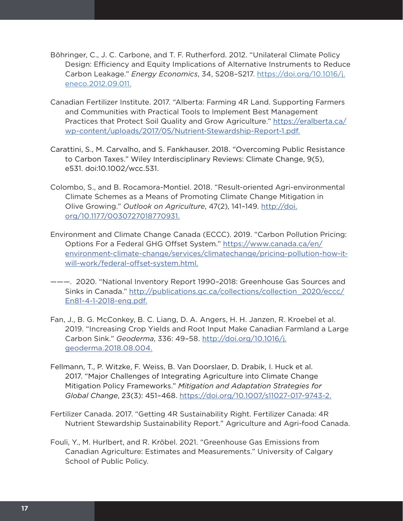- Böhringer, C., J. C. Carbone, and T. F. Rutherford. 2012. "Unilateral Climate Policy Design: Efficiency and Equity Implications of Alternative Instruments to Reduce Carbon Leakage." *Energy Economics*, 34, S208–S217. [https://doi.org/10.1016/j.](https://doi.org/10.1016/j.eneco.2012.09.011) [eneco.2012.09.011](https://doi.org/10.1016/j.eneco.2012.09.011).
- Canadian Fertilizer Institute. 2017. "Alberta: Farming 4R Land. Supporting Farmers and Communities with Practical Tools to Implement Best Management Practices that Protect Soil Quality and Grow Agriculture." [https://eralberta.ca/](https://eralberta.ca/wp-content/uploads/2017/05/Nutrient-Stewardship-Report-1.pdf) [wp-content/uploads/2017/05/Nutrient-Stewardship-Report-1.pdf](https://eralberta.ca/wp-content/uploads/2017/05/Nutrient-Stewardship-Report-1.pdf).
- Carattini, S., M. Carvalho, and S. Fankhauser. 2018. "Overcoming Public Resistance to Carbon Taxes." Wiley Interdisciplinary Reviews: Climate Change, 9(5), e531. doi:10.1002/wcc.531.
- Colombo, S., and B. Rocamora-Montiel. 2018. "Result-oriented Agri-environmental Climate Schemes as a Means of Promoting Climate Change Mitigation in Olive Growing." *Outlook on Agriculture*, 47(2), 141–149. [http://doi.](http://doi.org/10.1177/0030727018770931) [org/10.1177/0030727018770931.](http://doi.org/10.1177/0030727018770931)
- Environment and Climate Change Canada (ECCC). 2019. "Carbon Pollution Pricing: Options For a Federal GHG Offset System." [https://www.canada.ca/en/](https://www.canada.ca/en/environment-climate-change/services/climatechange/pricing-pollution-how-it-will-work/federal-offset-system.html) [environment-climate-change/services/climatechange/pricing-pollution-how-it](https://www.canada.ca/en/environment-climate-change/services/climatechange/pricing-pollution-how-it-will-work/federal-offset-system.html)[will-work/federal-offset-system.html.](https://www.canada.ca/en/environment-climate-change/services/climatechange/pricing-pollution-how-it-will-work/federal-offset-system.html)
- ———. 2020. "National Inventory Report 1990–2018: Greenhouse Gas Sources and Sinks in Canada." [http://publications.gc.ca/collections/collection\\_2020/eccc/](http://publications.gc.ca/collections/collection_2020/eccc/En81-4-1-2018-eng.pdf) [En81-4-1-2018-eng.pdf](http://publications.gc.ca/collections/collection_2020/eccc/En81-4-1-2018-eng.pdf).
- Fan, J., B. G. McConkey, B. C. Liang, D. A. Angers, H. H. Janzen, R. Kroebel et al. 2019. "Increasing Crop Yields and Root Input Make Canadian Farmland a Large Carbon Sink." *Geoderma*, 336: 49–58. [http://doi.org/10.1016/j.](http://doi.org/10.1016/j.geoderma.2018.08.004) [geoderma.2018.08.004.](http://doi.org/10.1016/j.geoderma.2018.08.004)
- Fellmann, T., P. Witzke, F. Weiss, B. Van Doorslaer, D. Drabik, I. Huck et al. 2017. "Major Challenges of Integrating Agriculture into Climate Change Mitigation Policy Frameworks." *Mitigation and Adaptation Strategies for Global Change*, 23(3): 451–468. [https://doi.org/10.1007/s11027-017-9743-2.](https://doi.org/10.1007/s11027-017-9743-2)
- Fertilizer Canada. 2017. "Getting 4R Sustainability Right. Fertilizer Canada: 4R Nutrient Stewardship Sustainability Report." Agriculture and Agri-food Canada.
- Fouli, Y., M. Hurlbert, and R. Kröbel. 2021. "Greenhouse Gas Emissions from Canadian Agriculture: Estimates and Measurements." University of Calgary School of Public Policy.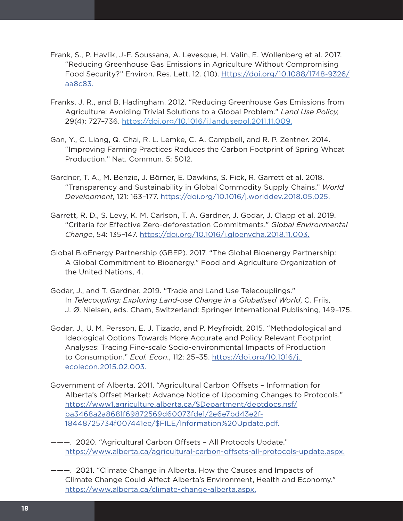- Frank, S., P. Havlik, J-F. Soussana, A. Levesque, H. Valin, E. Wollenberg et al. 2017. "Reducing Greenhouse Gas Emissions in Agriculture Without Compromising Food Security?" Environ. Res. Lett. 12. (10). [Https://doi.org/10.1088/1748-9326/](Https://doi.org/10.1088/1748-9326/aa8c83) [aa8c83.](Https://doi.org/10.1088/1748-9326/aa8c83)
- Franks, J. R., and B. Hadingham. 2012. "Reducing Greenhouse Gas Emissions from Agriculture: Avoiding Trivial Solutions to a Global Problem." *Land Use Policy,*  29(4): 727–736.<https://doi.org/10.1016/j.landusepol.2011.11.009>.
- Gan, Y., C. Liang, Q. Chai, R. L. Lemke, C. A. Campbell, and R. P. Zentner. 2014. "Improving Farming Practices Reduces the Carbon Footprint of Spring Wheat Production." Nat. Commun. 5: 5012.
- Gardner, T. A., M. Benzie, J. Börner, E. Dawkins, S. Fick, R. Garrett et al. 2018. "Transparency and Sustainability in Global Commodity Supply Chains." *World Development*, 121: 163–177. [https://doi.org/10.1016/j.worlddev.2018.05.025.](https://doi.org/10.1016/j.worlddev.2018.05.025)
- Garrett, R. D., S. Levy, K. M. Carlson, T. A. Gardner, J. Godar, J. Clapp et al. 2019. "Criteria for Effective Zero-deforestation Commitments." *Global Environmental Change*, 54: 135–147. [https://doi.org/10.1016/j.gloenvcha.2018.11.003.](https://doi.org/10.1016/j.gloenvcha.2018.11.003)
- Global BioEnergy Partnership (GBEP). 2017. "The Global Bioenergy Partnership: A Global Commitment to Bioenergy." Food and Agriculture Organization of the United Nations, 4.
- Godar, J., and T. Gardner. 2019. "Trade and Land Use Telecouplings." In *Telecoupling: Exploring Land-use Change in a Globalised World*, C. Friis, J. Ø. Nielsen, eds. Cham, Switzerland: Springer International Publishing, 149–175.
- Godar, J., U. M. Persson, E. J. Tizado, and P. Meyfroidt, 2015. "Methodological and Ideological Options Towards More Accurate and Policy Relevant Footprint Analyses: Tracing Fine-scale Socio-environmental Impacts of Production to Consumption." *Ecol. Econ*., 112: 25–35. [https://doi.org/10.1016/j.](https://doi.org/10.1016/j.%20ecolecon.2015.02.003)  [ecolecon.2015.02.003.](https://doi.org/10.1016/j.%20ecolecon.2015.02.003)
- Government of Alberta. 2011. "Agricultural Carbon Offsets Information for Alberta's Offset Market: Advance Notice of Upcoming Changes to Protocols." [https://www1.agriculture.alberta.ca/\\$Department/deptdocs.nsf/](https://www1.agriculture.alberta.ca/$Department/deptdocs.nsf/ba3468a2a8681f69872569d60073fde1/2e6e7bd43e2f18448725734f007441ee/$FILE/Information%20Update.pdf) [ba3468a2a8681f69872569d60073fde1/2e6e7bd43e2f-](https://www1.agriculture.alberta.ca/$Department/deptdocs.nsf/ba3468a2a8681f69872569d60073fde1/2e6e7bd43e2f18448725734f007441ee/$FILE/Information%20Update.pdf)[18448725734f007441ee/\\$FILE/Information%20Update.pdf.](https://www1.agriculture.alberta.ca/$Department/deptdocs.nsf/ba3468a2a8681f69872569d60073fde1/2e6e7bd43e2f18448725734f007441ee/$FILE/Information%20Update.pdf)
- ———. 2020. "Agricultural Carbon Offsets All Protocols Update." <https://www.alberta.ca/agricultural-carbon-offsets-all-protocols-update.aspx>.
- ———. 2021. "Climate Change in Alberta. How the Causes and Impacts of Climate Change Could Affect Alberta's Environment, Health and Economy." [https://www.alberta.ca/climate-change-alberta.aspx.](https://www.alberta.ca/climate-change-alberta.aspx)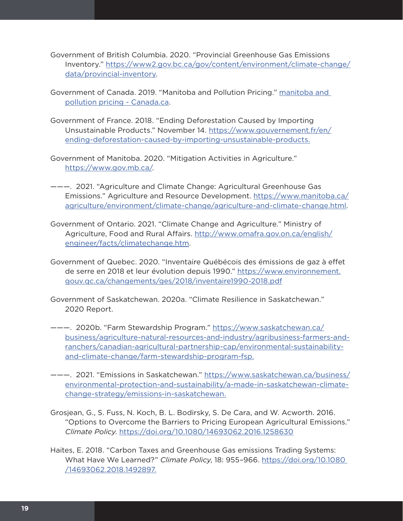- Government of British Columbia. 2020. "Provincial Greenhouse Gas Emissions Inventory." [https://www2.gov.bc.ca/gov/content/environment/climate-change/](https://www2.gov.bc.ca/gov/content/environment/climate-change/data/provincial-inventory) [data/provincial-inventory.](https://www2.gov.bc.ca/gov/content/environment/climate-change/data/provincial-inventory)
- Government of Canada. 2019. "Manitoba and Pollution Pricing." [manitoba and](https://www.canada.ca/en/environment-climate-change/services/climate-change/pricing-pollution-how-it-will-work/manitoba.html)  [pollution pricing - Canada.ca.](https://www.canada.ca/en/environment-climate-change/services/climate-change/pricing-pollution-how-it-will-work/manitoba.html)
- Government of France. 2018. "Ending Deforestation Caused by Importing Unsustainable Products." November 14. [https://www.gouvernement.fr/en/](https://www.gouvernement.fr/en/ending-deforestation-caused-by-importing-unsustainable-products) [ending-deforestation-caused-by-importing-unsustainable-products.](https://www.gouvernement.fr/en/ending-deforestation-caused-by-importing-unsustainable-products)
- Government of Manitoba. 2020. "Mitigation Activities in Agriculture." <https://www.gov.mb.ca/>.
- ———. 2021. "Agriculture and Climate Change: Agricultural Greenhouse Gas Emissions." Agriculture and Resource Development. [https://www.manitoba.ca/](https://www.manitoba.ca/agriculture/environment/climate-change/agriculture-and-climate-change.html) [agriculture/environment/climate-change/agriculture-and-climate-change.html](https://www.manitoba.ca/agriculture/environment/climate-change/agriculture-and-climate-change.html).
- Government of Ontario. 2021. "Climate Change and Agriculture." Ministry of Agriculture, Food and Rural Affairs. [http://www.omafra.gov.on.ca/english/](http://www.omafra.gov.on.ca/english/engineer/facts/climatechange.htm) [engineer/facts/climatechange.htm](http://www.omafra.gov.on.ca/english/engineer/facts/climatechange.htm).
- Government of Quebec. 2020. "Inventaire Québécois des émissions de gaz à effet de serre en 2018 et leur évolution depuis 1990." [https://www.environnement.](https://www.environnement.gouv.qc.ca/changements/ges/2018/inventaire1990-2018.pdf) [gouv.qc.ca/changements/ges/2018/inventaire1990-2018.pdf](https://www.environnement.gouv.qc.ca/changements/ges/2018/inventaire1990-2018.pdf)
- Government of Saskatchewan. 2020a. "Climate Resilience in Saskatchewan." 2020 Report.
- ———. 2020b. "Farm Stewardship Program." [https://www.saskatchewan.ca/](https://www.saskatchewan.ca/business/agriculture-natural-resources-and-industry/agribusiness-farmers-and-ranchers/canadian-agricultural-partnership-cap/environmental-sustainability-and-climate-change/farm-stewardship-program-fsp) [business/agriculture-natural-resources-and-industry/agribusiness-farmers-and](https://www.saskatchewan.ca/business/agriculture-natural-resources-and-industry/agribusiness-farmers-and-ranchers/canadian-agricultural-partnership-cap/environmental-sustainability-and-climate-change/farm-stewardship-program-fsp)[ranchers/canadian-agricultural-partnership-cap/environmental-sustainability](https://www.saskatchewan.ca/business/agriculture-natural-resources-and-industry/agribusiness-farmers-and-ranchers/canadian-agricultural-partnership-cap/environmental-sustainability-and-climate-change/farm-stewardship-program-fsp)[and-climate-change/farm-stewardship-program-fsp](https://www.saskatchewan.ca/business/agriculture-natural-resources-and-industry/agribusiness-farmers-and-ranchers/canadian-agricultural-partnership-cap/environmental-sustainability-and-climate-change/farm-stewardship-program-fsp).
- ———. 2021. "Emissions in Saskatchewan." [https://www.saskatchewan.ca/business/](https://www.saskatchewan.ca/business/environmental-protection-and-sustainability/a-made-in-saskatchewan-climate-change-strategy/emissions-in-saskatchewan) [environmental-protection-and-sustainability/a-made-in-saskatchewan-climate](https://www.saskatchewan.ca/business/environmental-protection-and-sustainability/a-made-in-saskatchewan-climate-change-strategy/emissions-in-saskatchewan)[change-strategy/emissions-in-saskatchewan.](https://www.saskatchewan.ca/business/environmental-protection-and-sustainability/a-made-in-saskatchewan-climate-change-strategy/emissions-in-saskatchewan)
- Grosjean, G., S. Fuss, N. Koch, B. L. Bodirsky, S. De Cara, and W. Acworth. 2016. "Options to Overcome the Barriers to Pricing European Agricultural Emissions." *Climate Policy*.<https://doi.org/10.1080/14693062.2016.1258630>
- Haites, E. 2018. "Carbon Taxes and Greenhouse Gas emissions Trading Systems: What Have We Learned?" *Climate Policy*, 18: 955–966. [https://doi.org/10.1080](https://doi.org/10.1080%20/14693062.2018.1492897)  [/14693062.2018.1492897](https://doi.org/10.1080%20/14693062.2018.1492897).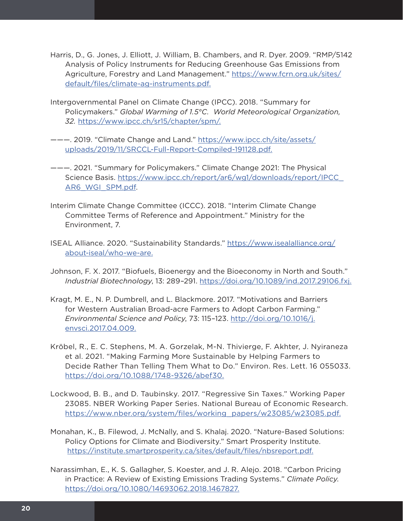- Harris, D., G. Jones, J. Elliott, J. William, B. Chambers, and R. Dyer. 2009. "RMP/5142 Analysis of Policy Instruments for Reducing Greenhouse Gas Emissions from Agriculture, Forestry and Land Management." [https://www.fcrn.org.uk/sites/](https://www.fcrn.org.uk/sites/default/files/climate-ag-instruments.pdf) [default/files/climate-ag-instruments.pdf.](https://www.fcrn.org.uk/sites/default/files/climate-ag-instruments.pdf)
- Intergovernmental Panel on Climate Change (IPCC). 2018. "Summary for Policymakers." *Global Warming of 1.5°C. World Meteorological Organization, 32.* [https://www.ipcc.ch/sr15/chapter/spm/.](https://www.ipcc.ch/sr15/chapter/spm/)
- ———. 2019. "Climate Change and Land." [https://www.ipcc.ch/site/assets/](https://www.ipcc.ch/site/assets/uploads/2019/11/SRCCL-Full-Report-Compiled-191128.pdf) [uploads/2019/11/SRCCL-Full-Report-Compiled-191128.pdf](https://www.ipcc.ch/site/assets/uploads/2019/11/SRCCL-Full-Report-Compiled-191128.pdf).
- ———. 2021. "Summary for Policymakers." Climate Change 2021: The Physical Science Basis. [https://www.ipcc.ch/report/ar6/wg1/downloads/report/IPCC\\_](https://www.ipcc.ch/report/ar6/wg1/downloads/report/IPCC_AR6_WGI_SPM.pdf) [AR6\\_WGI\\_SPM.pdf.](https://www.ipcc.ch/report/ar6/wg1/downloads/report/IPCC_AR6_WGI_SPM.pdf)
- Interim Climate Change Committee (ICCC). 2018. "Interim Climate Change Committee Terms of Reference and Appointment." Ministry for the Environment, 7.
- ISEAL Alliance. 2020. "Sustainability Standards." [https://www.isealalliance.org/](https://www.isealalliance.org/about-iseal/who-we-are) [about-iseal/who-we-are.](https://www.isealalliance.org/about-iseal/who-we-are)
- Johnson, F. X. 2017. "Biofuels, Bioenergy and the Bioeconomy in North and South." *Industrial Biotechnology*, 13: 289–291. [https://doi.org/10.1089/ind.2017.29106.fxj.](https://doi.org/10.1089/ind.2017.29106.fxj)
- Kragt, M. E., N. P. Dumbrell, and L. Blackmore. 2017. "Motivations and Barriers for Western Australian Broad-acre Farmers to Adopt Carbon Farming." *Environmental Science and Policy*, 73: 115–123. [http://doi.org/10.1016/j.](http://doi.org/10.1016/j.envsci.2017.04.009) [envsci.2017.04.009](http://doi.org/10.1016/j.envsci.2017.04.009).
- Kröbel, R., E. C. Stephens, M. A. Gorzelak, M-N. Thivierge, F. Akhter, J. Nyiraneza et al. 2021. "Making Farming More Sustainable by Helping Farmers to Decide Rather Than Telling Them What to Do." Environ. Res. Lett. 16 055033. [https://doi.org/10.1088/1748-9326/abef30.](https://doi.org/10.1088/1748-9326/abef30)
- Lockwood, B. B., and D. Taubinsky. 2017. "Regressive Sin Taxes." Working Paper 23085. NBER Working Paper Series. National Bureau of Economic Research. [https://www.nber.org/system/files/working\\_papers/w23085/w23085.pdf](https://www.nber.org/system/files/working_papers/w23085/w23085.pdf).
- Monahan, K., B. Filewod, J. McNally, and S. Khalaj. 2020. "Nature-Based Solutions: Policy Options for Climate and Biodiversity." Smart Prosperity Institute. [https://institute.smartprosperity.ca/sites/default/files/nbsreport.pdf.](https://institute.smartprosperity.ca/sites/default/files/nbsreport.pdf)
- Narassimhan, E., K. S. Gallagher, S. Koester, and J. R. Alejo. 2018. "Carbon Pricing in Practice: A Review of Existing Emissions Trading Systems." *Climate Policy*. <https://doi.org/10.1080/14693062.2018.1467827>.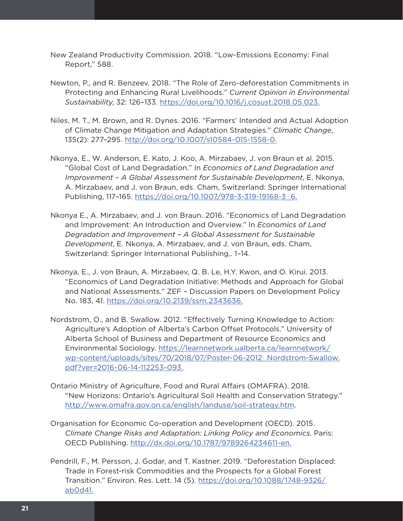- New Zealand Productivity Commission. 2018. "Low-Emissions Economy: Final Report," 588.
- Newton, P., and R. Benzeev. 2018. "The Role of Zero-deforestation Commitments in Protecting and Enhancing Rural Livelihoods." *Current Opinion in Environmental Sustainability*, 32: 126–133.<https://doi.org/10.1016/j.cosust.2018.05.023>.
- Niles, M. T., M. Brown, and R. Dynes. 2016. "Farmers' Intended and Actual Adoption of Climate Change Mitigation and Adaptation Strategies." *Climatic Change*, 135(2): 277–295. <http://doi.org/10.1007/s10584-015-1558-0>.
- Nkonya, E., W. Anderson, E. Kato, J. Koo, A. Mirzabaev, J. von Braun et al. 2015. "Global Cost of Land Degradation." In *Economics of Land Degradation and Improvement – A Global Assessment for Sustainable Development*, E. Nkonya, A. Mirzabaev, and J. von Braun, eds. Cham, Switzerland: Springer International Publishing, 117–165. [https://doi.org/10.1007/978-3-319-19168-3\\_6](https://doi.org/10.1007/978-3-319-19168-3_6).
- Nkonya E., A. Mirzabaev, and J. von Braun. 2016. "Economics of Land Degradation and Improvement: An Introduction and Overview." In *Economics of Land Degradation and Improvement – A Global Assessment for Sustainable Development*, E. Nkonya, A. Mirzabaev, and J. von Braun, eds. Cham, Switzerland: Springer International Publishing,. 1–14.
- Nkonya, E., J. von Braun, A. Mirzabaev, Q. B. Le, H.Y. Kwon, and O. Kirui. 2013. "Economics of Land Degradation Initiative: Methods and Approach for Global and National Assessments." ZEF – Discussion Papers on Development Policy No. 183, 41.<https://doi.org/10.2139/ssrn.2343636>.
- Nordstrom, O., and B. Swallow. 2012. "Effectively Turning Knowledge to Action: Agriculture's Adoption of Alberta's Carbon Offset Protocols." University of Alberta School of Business and Department of Resource Economics and Environmental Sociology. [https://learnnetwork.ualberta.ca/learnnetwork/](https://learnnetwork.ualberta.ca/learnnetwork/wp-content/uploads/sites/70/2018/07/Poster-06-2012_Nordstrom-Swallow.pdf?ver=2016-06-14-112253-093) [wp-content/uploads/sites/70/2018/07/Poster-06-2012\\_Nordstrom-Swallow.](https://learnnetwork.ualberta.ca/learnnetwork/wp-content/uploads/sites/70/2018/07/Poster-06-2012_Nordstrom-Swallow.pdf?ver=2016-06-14-112253-093) [pdf?ver=2016-06-14-112253-093.](https://learnnetwork.ualberta.ca/learnnetwork/wp-content/uploads/sites/70/2018/07/Poster-06-2012_Nordstrom-Swallow.pdf?ver=2016-06-14-112253-093)
- Ontario Ministry of Agriculture, Food and Rural Affairs (OMAFRA). 2018. "New Horizons: Ontario's Agricultural Soil Health and Conservation Strategy." <http://www.omafra.gov.on.ca/english/landuse/soil-strategy.htm>.
- Organisation for Economic Co-operation and Development (OECD). 2015. *Climate Change Risks and Adaptation: Linking Policy and Economics*. Paris: OECD Publishing.<http://dx.doi.org/10.1787/9789264234611-en>.
- Pendrill, F., M. Persson, J. Godar, and T. Kastner. 2019. "Deforestation Displaced: Trade in Forest-risk Commodities and the Prospects for a Global Forest Transition." Environ. Res. Lett. 14 (5). [https://doi.org/10.1088/1748-9326/](https://doi.org/10.1088/1748-9326/ab0d41) [ab0d41.](https://doi.org/10.1088/1748-9326/ab0d41)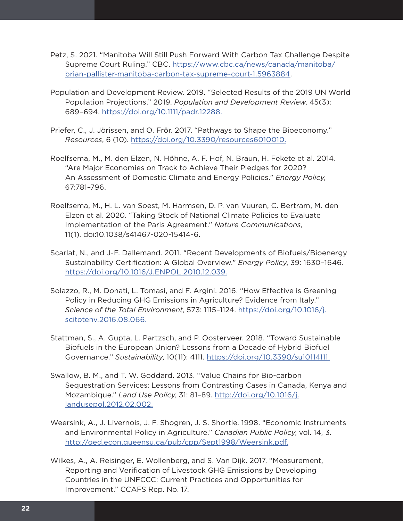- Petz, S. 2021. "Manitoba Will Still Push Forward With Carbon Tax Challenge Despite Supreme Court Ruling." CBC. [https://www.cbc.ca/news/canada/manitoba/](https://www.cbc.ca/news/canada/manitoba/brian-pallister-manitoba-carbon-tax-supreme-court-1.5963884) [brian-pallister-manitoba-carbon-tax-supreme-court-1.5963884](https://www.cbc.ca/news/canada/manitoba/brian-pallister-manitoba-carbon-tax-supreme-court-1.5963884).
- Population and Development Review. 2019. "Selected Results of the 2019 UN World Population Projections." 2019. *Population and Development Review*, 45(3): 689–694. [https://doi.org/10.1111/padr.12288.](https://doi.org/10.1111/padr.12288)
- Priefer, C., J. Jörissen, and O. Frör. 2017. "Pathways to Shape the Bioeconomy." *Resources*, 6 (10). <https://doi.org/10.3390/resources6010010>.
- Roelfsema, M., M. den Elzen, N. Höhne, A. F. Hof, N. Braun, H. Fekete et al. 2014. "Are Major Economies on Track to Achieve Their Pledges for 2020? An Assessment of Domestic Climate and Energy Policies." *Energy Policy*, 67:781–796.
- Roelfsema, M., H. L. van Soest, M. Harmsen, D. P. van Vuuren, C. Bertram, M. den Elzen et al. 2020. "Taking Stock of National Climate Policies to Evaluate Implementation of the Paris Agreement." *Nature Communications*, 11(1). doi:10.1038/s41467-020-15414-6.
- Scarlat, N., and J-F. Dallemand. 2011. "Recent Developments of Biofuels/Bioenergy Sustainability Certification: A Global Overview." *Energy Policy*, 39: 1630–1646. [https://doi.org/10.1016/J.ENPOL.2010.12.039.](https://doi.org/10.1016/J.ENPOL.2010.12.039)
- Solazzo, R., M. Donati, L. Tomasi, and F. Argini. 2016. "How Effective is Greening Policy in Reducing GHG Emissions in Agriculture? Evidence from Italy." *Science of the Total Environment*, 573: 1115–1124. [https://doi.org/10.1016/j.](https://doi.org/10.1016/j.scitotenv.2016.08.066) [scitotenv.2016.08.066](https://doi.org/10.1016/j.scitotenv.2016.08.066).
- Stattman, S., A. Gupta, L. Partzsch, and P. Oosterveer. 2018. "Toward Sustainable Biofuels in the European Union? Lessons from a Decade of Hybrid Biofuel Governance." *Sustainability*, 10(11): 4111. [https://doi.org/10.3390/su10114111.](https://doi.org/10.3390/su10114111)
- Swallow, B. M., and T. W. Goddard. 2013. "Value Chains for Bio-carbon Sequestration Services: Lessons from Contrasting Cases in Canada, Kenya and Mozambique." *Land Use Policy*, 31: 81–89. [http://doi.org/10.1016/j.](http://doi.org/10.1016/j.landusepol.2012.02.002) [landusepol.2012.02.002.](http://doi.org/10.1016/j.landusepol.2012.02.002)
- Weersink, A., J. Livernois, J. F. Shogren, J. S. Shortle. 1998. "Economic Instruments and Environmental Policy in Agriculture." *Canadian Public Policy*, vol. 14, 3. [http://qed.econ.queensu.ca/pub/cpp/Sept1998/Weersink.pdf.](http://qed.econ.queensu.ca/pub/cpp/Sept1998/Weersink.pdf)
- Wilkes, A., A. Reisinger, E. Wollenberg, and S. Van Dijk. 2017. "Measurement, Reporting and Verification of Livestock GHG Emissions by Developing Countries in the UNFCCC: Current Practices and Opportunities for Improvement." CCAFS Rep. No. 17.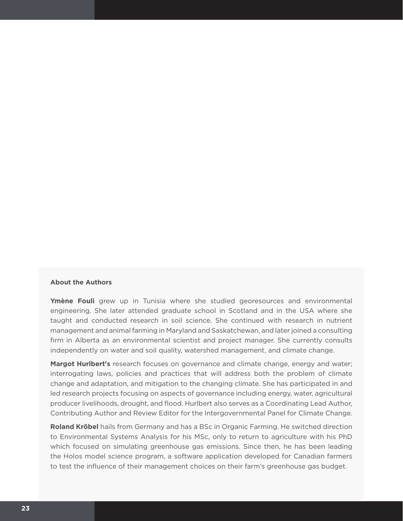#### **About the Authors**

**Ymène Fouli** grew up in Tunisia where she studied georesources and environmental engineering. She later attended graduate school in Scotland and in the USA where she taught and conducted research in soil science. She continued with research in nutrient management and animal farming in Maryland and Saskatchewan, and later joined a consulting firm in Alberta as an environmental scientist and project manager. She currently consults independently on water and soil quality, watershed management, and climate change.

**Margot Hurlbert's** research focuses on governance and climate change, energy and water; interrogating laws, policies and practices that will address both the problem of climate change and adaptation, and mitigation to the changing climate. She has participated in and led research projects focusing on aspects of governance including energy, water, agricultural producer livelihoods, drought, and flood. Hurlbert also serves as a Coordinating Lead Author, Contributing Author and Review Editor for the Intergovernmental Panel for Climate Change.

**Roland Kröbel** hails from Germany and has a BSc in Organic Farming. He switched direction to Environmental Systems Analysis for his MSc, only to return to agriculture with his PhD which focused on simulating greenhouse gas emissions. Since then, he has been leading the Holos model science program, a software application developed for Canadian farmers to test the influence of their management choices on their farm's greenhouse gas budget.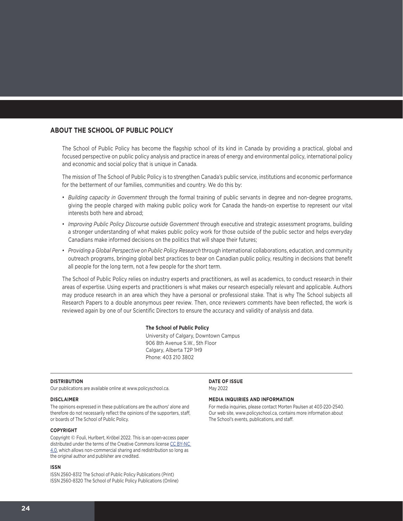#### **ABOUT THE SCHOOL OF PUBLIC POLICY**

The School of Public Policy has become the flagship school of its kind in Canada by providing a practical, global and focused perspective on public policy analysis and practice in areas of energy and environmental policy, international policy and economic and social policy that is unique in Canada.

The mission of The School of Public Policy is to strengthen Canada's public service, institutions and economic performance for the betterment of our families, communities and country. We do this by:

- *Building capacity in Government* through the formal training of public servants in degree and non-degree programs, giving the people charged with making public policy work for Canada the hands-on expertise to represent our vital interests both here and abroad;
- *Improving Public Policy Discourse outside Government* through executive and strategic assessment programs, building a stronger understanding of what makes public policy work for those outside of the public sector and helps everyday Canadians make informed decisions on the politics that will shape their futures;
- *Providing a Global Perspective on Public Policy Research* through international collaborations, education, and community outreach programs, bringing global best practices to bear on Canadian public policy, resulting in decisions that benefit all people for the long term, not a few people for the short term.

The School of Public Policy relies on industry experts and practitioners, as well as academics, to conduct research in their areas of expertise. Using experts and practitioners is what makes our research especially relevant and applicable. Authors may produce research in an area which they have a personal or professional stake. That is why The School subjects all Research Papers to a double anonymous peer review. Then, once reviewers comments have been reflected, the work is reviewed again by one of our Scientific Directors to ensure the accuracy and validity of analysis and data.

#### **The School of Public Policy**

University of Calgary, Downtown Campus 906 8th Avenue S.W., 5th Floor Calgary, Alberta T2P 1H9 Phone: 403 210 3802

#### **DISTRIBUTION**

Our publications are available online at www.policyschool.ca.

#### **DISCLAIMER**

The opinions expressed in these publications are the authors' alone and therefore do not necessarily reflect the opinions of the supporters, staff, or boards of The School of Public Policy.

#### **COPYRIGHT**

Copyright © Fouli, Hurlbert, Kröbel 2022. This is an open-access paper distributed under the terms of the Creative Commons license [CC BY-NC](https://creativecommons.org/licenses/by-nc/4.0/)  [4.0](https://creativecommons.org/licenses/by-nc/4.0/), which allows non-commercial sharing and redistribution so long as the original author and publisher are credited.

#### **ISSN**

ISSN 2560-8312 The School of Public Policy Publications (Print) ISSN 2560-8320 The School of Public Policy Publications (Online) **DATE OF ISSUE** May 2022

#### **MEDIA INQUIRIES AND INFORMATION**

For media inquiries, please contact Morten Paulsen at 403-220-2540. Our web site, www.policyschool.ca, contains more information about The School's events, publications, and staff.